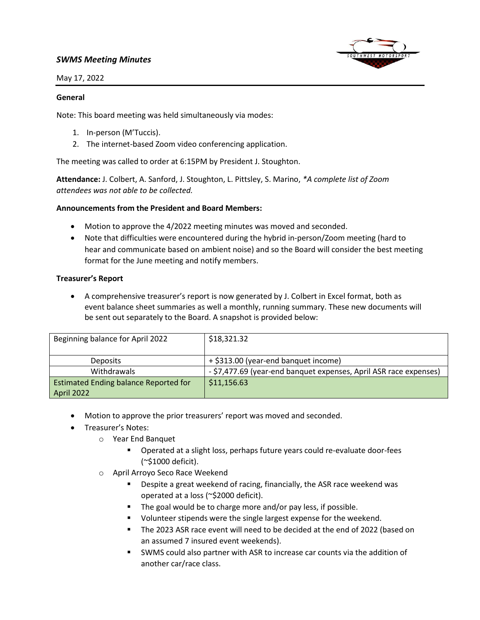# *SWMS Meeting Minutes*



May 17, 2022

#### **General**

Note: This board meeting was held simultaneously via modes:

- 1. In-person (M'Tuccis).
- 2. The internet-based Zoom video conferencing application.

The meeting was called to order at 6:15PM by President J. Stoughton.

**Attendance:** J. Colbert, A. Sanford, J. Stoughton, L. Pittsley, S. Marino, *\*A complete list of Zoom attendees was not able to be collected.*

### **Announcements from the President and Board Members:**

- Motion to approve the 4/2022 meeting minutes was moved and seconded.
- Note that difficulties were encountered during the hybrid in-person/Zoom meeting (hard to hear and communicate based on ambient noise) and so the Board will consider the best meeting format for the June meeting and notify members.

### **Treasurer's Report**

• A comprehensive treasurer's report is now generated by J. Colbert in Excel format, both as event balance sheet summaries as well a monthly, running summary. These new documents will be sent out separately to the Board. A snapshot is provided below:

| Beginning balance for April 2022             | \$18,321.32                                                       |
|----------------------------------------------|-------------------------------------------------------------------|
|                                              |                                                                   |
| <b>Deposits</b>                              | + \$313.00 (year-end banquet income)                              |
| Withdrawals                                  | - \$7,477.69 (year-end banquet expenses, April ASR race expenses) |
| <b>Estimated Ending balance Reported for</b> | \$11,156.63                                                       |
| April 2022                                   |                                                                   |

- Motion to approve the prior treasurers' report was moved and seconded.
- Treasurer's Notes:
	- o Year End Banquet
		- Operated at a slight loss, perhaps future years could re-evaluate door-fees (~\$1000 deficit).
	- o April Arroyo Seco Race Weekend
		- Despite a great weekend of racing, financially, the ASR race weekend was operated at a loss (~\$2000 deficit).
		- The goal would be to charge more and/or pay less, if possible.
		- Volunteer stipends were the single largest expense for the weekend.
		- The 2023 ASR race event will need to be decided at the end of 2022 (based on an assumed 7 insured event weekends).
		- SWMS could also partner with ASR to increase car counts via the addition of another car/race class.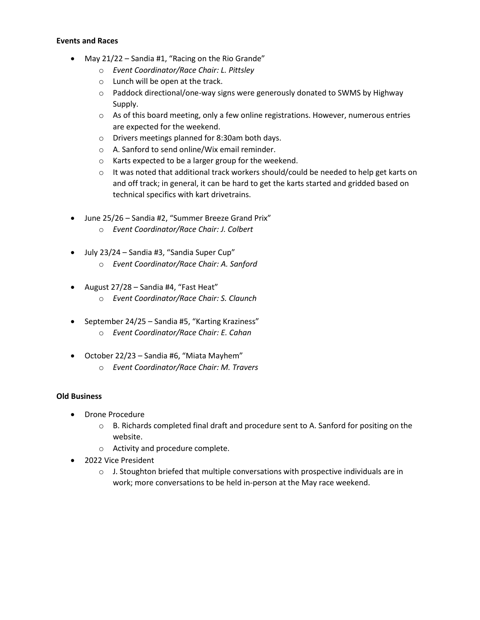## **Events and Races**

- May 21/22 Sandia #1, "Racing on the Rio Grande"
	- o *Event Coordinator/Race Chair: L. Pittsley*
	- o Lunch will be open at the track.
	- o Paddock directional/one-way signs were generously donated to SWMS by Highway Supply.
	- $\circ$  As of this board meeting, only a few online registrations. However, numerous entries are expected for the weekend.
	- o Drivers meetings planned for 8:30am both days.
	- o A. Sanford to send online/Wix email reminder.
	- o Karts expected to be a larger group for the weekend.
	- $\circ$  It was noted that additional track workers should/could be needed to help get karts on and off track; in general, it can be hard to get the karts started and gridded based on technical specifics with kart drivetrains.
- June 25/26 Sandia #2, "Summer Breeze Grand Prix"
	- o *Event Coordinator/Race Chair: J. Colbert*
- July 23/24 Sandia #3, "Sandia Super Cup"
	- o *Event Coordinator/Race Chair: A. Sanford*
- August 27/28 Sandia #4, "Fast Heat"
	- o *Event Coordinator/Race Chair: S. Claunch*
- September 24/25 Sandia #5, "Karting Kraziness"
	- o *Event Coordinator/Race Chair: E. Cahan*
- October 22/23 Sandia #6, "Miata Mayhem"
	- o *Event Coordinator/Race Chair: M. Travers*

## **Old Business**

- Drone Procedure
	- $\circ$  B. Richards completed final draft and procedure sent to A. Sanford for positing on the website.
	- o Activity and procedure complete.
- 2022 Vice President
	- $\circ$  J. Stoughton briefed that multiple conversations with prospective individuals are in work; more conversations to be held in-person at the May race weekend.